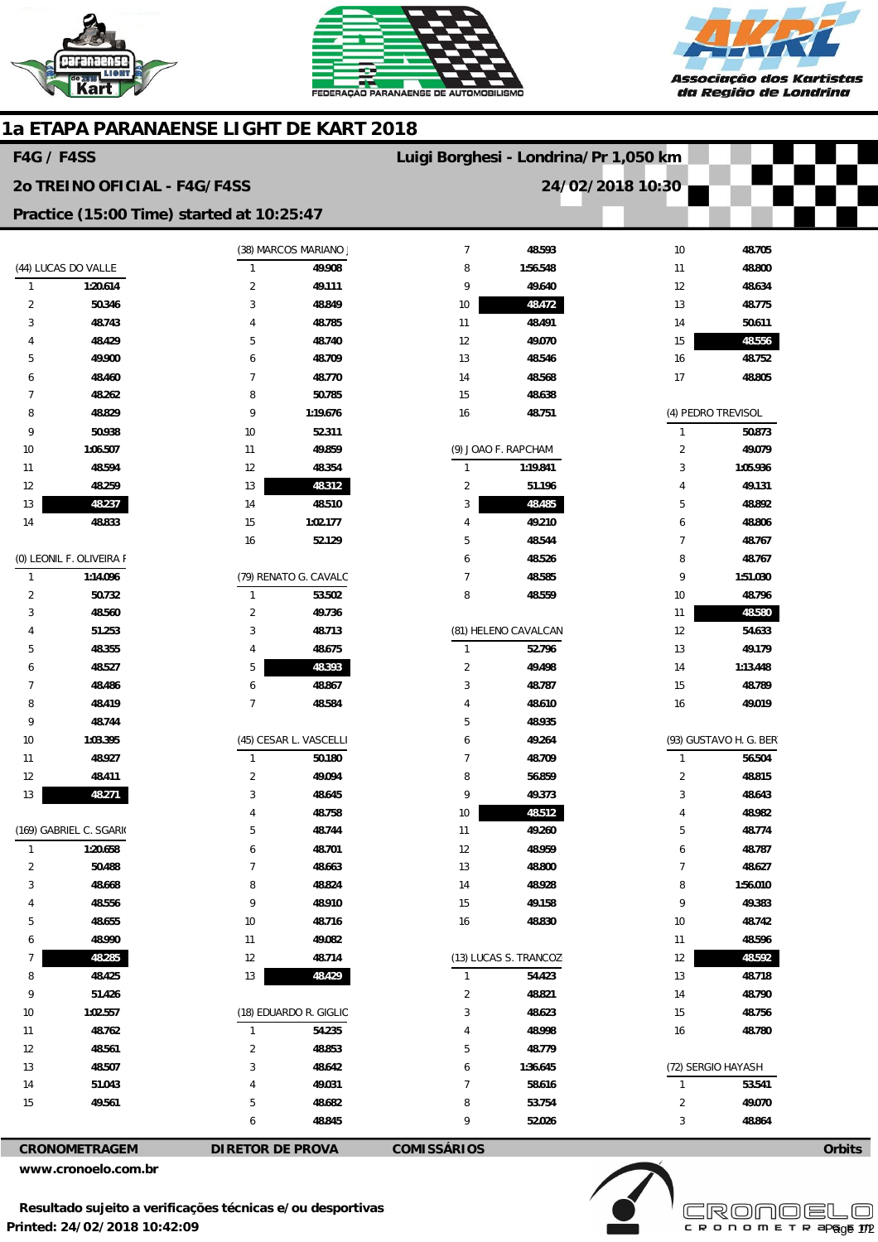





## **1a ETAPA PARANAENSE LIGHT DE KART 2018**

| <b>F4G / F4SS</b>                         |                          |                                |                                 | Luigi Borghesi - Londrina/Pr 1,050 km |                       |                        |                              |        |
|-------------------------------------------|--------------------------|--------------------------------|---------------------------------|---------------------------------------|-----------------------|------------------------|------------------------------|--------|
| 20 TREINO OFICIAL - F4G/F4SS              |                          |                                |                                 | 24/02/2018 10:30                      |                       |                        |                              |        |
| Practice (15:00 Time) started at 10:25:47 |                          |                                |                                 |                                       |                       |                        |                              |        |
|                                           |                          |                                | (38) MARCOS MARIANO             | $\overline{7}$                        | 48.593                | 10                     | 48.705                       |        |
| (44) LUCAS DO VALLE                       |                          | $\mathbf{1}$                   | 49.908                          | 8                                     | 1:56.548              | 11                     | 48.800                       |        |
| $\mathbf{1}$                              | 1:20.614                 | $\overline{c}$                 | 49.111                          | 9                                     | 49.640                | 12                     | 48.634                       |        |
| $\overline{2}$                            | 50.346                   | 3                              | 48.849                          | 10                                    | 48.472                | 13                     | 48.775                       |        |
| 3                                         | 48.743                   | 4                              | 48.785                          | 11                                    | 48.491                | 14                     | 50.611                       |        |
| 4                                         | 48.429                   | 5                              | 48.740                          | 12                                    | 49.070                | 15                     | 48.556                       |        |
| 5                                         | 49.900                   | 6                              | 48.709                          | 13                                    | 48.546                | 16                     | 48.752                       |        |
| 6                                         | 48.460                   | $\overline{7}$                 | 48.770                          | 14                                    | 48.568                | 17                     | 48.805                       |        |
| $\overline{7}$                            | 48.262                   | 8                              | 50.785                          | 15                                    | 48.638                |                        |                              |        |
| 8                                         | 48.829                   | 9                              | 1:19.676                        | 16                                    | 48.751                |                        | (4) PEDRO TREVISOL           |        |
| 9                                         | 50.938                   | 10                             | 52.311                          |                                       |                       | $\mathbf{1}$           | 50.873                       |        |
| 10                                        | 1:06.507                 | 11                             | 49.859                          |                                       | (9) JOAO F. RAPCHAM   | $\overline{2}$         | 49.079                       |        |
| 11                                        | 48.594                   | 12                             | 48.354                          | 1                                     | 1:19.841              | 3                      | 1:05.936                     |        |
| 12                                        | 48.259                   | 13                             | 48.312                          | $\overline{2}$                        | 51.196                | 4                      | 49.131                       |        |
| 13                                        | 48.237                   | 14                             | 48.510                          | 3                                     | 48.485                | 5                      | 48.892                       |        |
| 14                                        | 48.833                   | 15                             | 1:02.177                        | $\overline{4}$                        | 49.210                | 6                      | 48.806                       |        |
|                                           |                          | 16                             | 52.129                          | 5                                     | 48.544                | $\overline{7}$         | 48.767                       |        |
|                                           | (0) LEONIL F. OLIVEIRA F |                                |                                 | 6                                     | 48.526                | 8                      | 48.767                       |        |
| $\mathbf{1}$                              | 1:14.096                 |                                | (79) RENATO G. CAVALC<br>53.502 | $\overline{7}$                        | 48.585                | 9                      | 1:51.030                     |        |
| $\overline{2}$<br>3                       | 50.732<br>48.560         | $\mathbf{1}$<br>$\overline{2}$ | 49.736                          | 8                                     | 48.559                | 10<br>11               | 48.796<br>48.580             |        |
| 4                                         | 51.253                   | 3                              | 48.713                          |                                       | (81) HELENO CAVALCAN  | 12                     | 54.633                       |        |
| 5                                         | 48.355                   | 4                              | 48.675                          | $\mathbf{1}$                          | 52.796                | 13                     | 49.179                       |        |
| 6                                         | 48.527                   | 5                              | 48.393                          | $\overline{2}$                        | 49.498                | 14                     | 1:13.448                     |        |
| 7                                         | 48.486                   | 6                              | 48.867                          | 3                                     | 48.787                | 15                     | 48.789                       |        |
| 8                                         | 48.419                   | $\overline{7}$                 | 48.584                          | 4                                     | 48.610                | 16                     | 49.019                       |        |
| 9                                         | 48.744                   |                                |                                 | 5                                     | 48.935                |                        |                              |        |
| 10                                        | 1:03.395                 |                                | (45) CESAR L. VASCELLI          |                                       | 49.264                | (93) GUSTAVO H. G. BER |                              |        |
| 11                                        | 48.927                   | $\mathbf{1}$                   | 50.180                          | $\overline{7}$                        | 48.709                | $\mathbf{1}$           | 56.504                       |        |
| 12                                        | 48.411                   | $\overline{2}$                 | 49.094                          | 8                                     | 56.859                | $\overline{2}$         | 48.815                       |        |
| 13                                        | 48.271                   | 3                              | 48.645                          | 9                                     | 49.373                | 3                      | 48.643                       |        |
|                                           |                          | 4                              | 48.758                          | 10                                    | 48.512                | 4                      | 48.982                       |        |
|                                           | (169) GABRIEL C. SGARI(  | 5                              | 48.744                          | 11                                    | 49.260                | 5                      | 48.774                       |        |
| $\mathbf{1}$                              | 1:20.658                 | 6                              | 48.701                          | 12                                    | 48.959                | 6                      | 48.787                       |        |
| $\overline{c}$                            | 50.488                   | $\overline{7}$                 | 48.663                          | 13                                    | 48.800                | $\overline{7}$         | 48.627                       |        |
| 3                                         | 48.668                   | 8                              | 48.824                          | 14                                    | 48.928                | 8                      | 1:56.010                     |        |
| 4                                         | 48.556                   | 9                              | 48.910                          | 15                                    | 49.158                | 9                      | 49.383                       |        |
| 5                                         | 48.655                   | 10                             | 48.716                          | 16                                    | 48.830                | 10                     | 48.742                       |        |
| 6                                         | 48.990                   | 11                             | 49.082                          |                                       |                       | 11                     | 48.596                       |        |
| 7                                         | 48.285                   | 12                             | 48.714                          |                                       | (13) LUCAS S. TRANCOZ | 12                     | 48.592                       |        |
| 8                                         | 48.425                   | 13                             | 48.429                          | $\mathbf{1}$                          | 54.423                | 13                     | 48.718                       |        |
| 9                                         | 51.426                   |                                |                                 | $\overline{2}$                        | 48.821                | 14                     | 48.790                       |        |
| $10\,$                                    | 1:02.557                 |                                | (18) EDUARDO R. GIGLIO          | 3                                     | 48.623                | 15                     | 48.756                       |        |
| 11                                        | 48.762                   | $\mathbf{1}$                   | 54.235                          | 4                                     | 48.998                | 16                     | 48.780                       |        |
| $12\,$                                    | 48.561                   | $\overline{2}$                 | 48.853                          | 5                                     | 48.779                |                        |                              |        |
| 13<br>14                                  | 48.507<br>51.043         | 3<br>4                         | 48.642<br>49.031                | 6<br>$\overline{7}$                   | 1:36.645<br>58.616    | $\mathbf{1}$           | (72) SERGIO HAYASH<br>53.541 |        |
| 15                                        | 49.561                   | 5                              | 48.682                          | 8                                     | 53.754                | $\overline{2}$         | 49.070                       |        |
|                                           |                          | 6                              | 48.845                          | 9                                     | 52.026                | 3                      | 48.864                       |        |
|                                           |                          |                                |                                 | <b>COMISSÁRIOS</b>                    |                       |                        |                              |        |
| CRONOMETRAGEM                             |                          |                                | <b>DIRETOR DE PROVA</b>         |                                       |                       |                        |                              | Orbits |

**www.cronoelo.com.br** 

**Printed: 24/02/2018 10:42:09 Resultado sujeito a verificações técnicas e/ou desportivas** 



**Licensed to: Cronoelo**  Page 1/2

**Orbits**